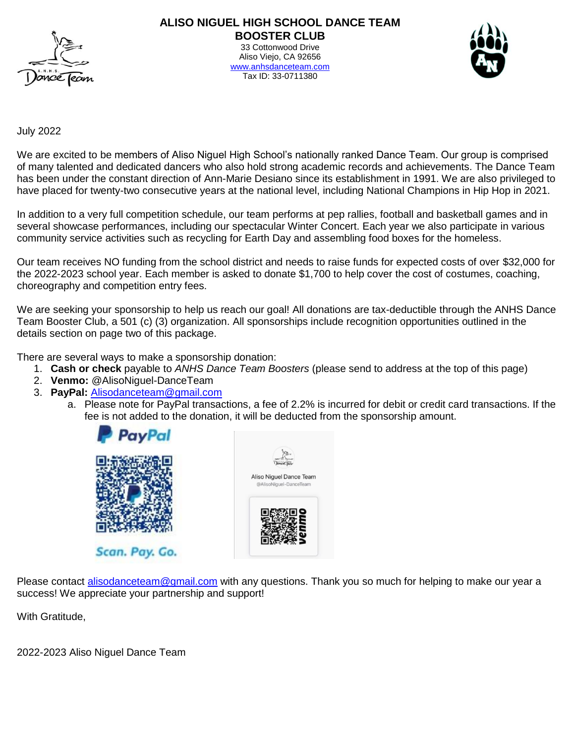

## **ALISO NIGUEL HIGH SCHOOL DANCE TEAM BOOSTER CLUB**

33 Cottonwood Drive Aliso Viejo, CA 92656 [www.anhsdanceteam.com](http://www.anhsdanceteam.com/) Tax ID: 33-0711380



July 2022

We are excited to be members of Aliso Niguel High School's nationally ranked Dance Team. Our group is comprised of many talented and dedicated dancers who also hold strong academic records and achievements. The Dance Team has been under the constant direction of Ann-Marie Desiano since its establishment in 1991. We are also privileged to have placed for twenty-two consecutive years at the national level, including National Champions in Hip Hop in 2021.

In addition to a very full competition schedule, our team performs at pep rallies, football and basketball games and in several showcase performances, including our spectacular Winter Concert. Each year we also participate in various community service activities such as recycling for Earth Day and assembling food boxes for the homeless.

Our team receives NO funding from the school district and needs to raise funds for expected costs of over \$32,000 for the 2022-2023 school year. Each member is asked to donate \$1,700 to help cover the cost of costumes, coaching, choreography and competition entry fees.

We are seeking your sponsorship to help us reach our goal! All donations are tax-deductible through the ANHS Dance Team Booster Club, a 501 (c) (3) organization. All sponsorships include recognition opportunities outlined in the details section on page two of this package.

There are several ways to make a sponsorship donation:

- 1. **Cash or check** payable to *ANHS Dance Team Boosters* (please send to address at the top of this page)
- 2. **Venmo:** @AlisoNiguel-DanceTeam
- 3. **PayPal:** [Alisodanceteam@gmail.com](mailto:Alisodanceteam@gmail.com)
	- a. Please note for PayPal transactions, a fee of 2.2% is incurred for debit or credit card transactions. If the fee is not added to the donation, it will be deducted from the sponsorship amount.



Scan. Pay. Go.



Please contact [alisodanceteam@gmail.com](mailto:alisodanceteam@gmail.com) with any questions. Thank you so much for helping to make our year a success! We appreciate your partnership and support!

With Gratitude,

2022-2023 Aliso Niguel Dance Team